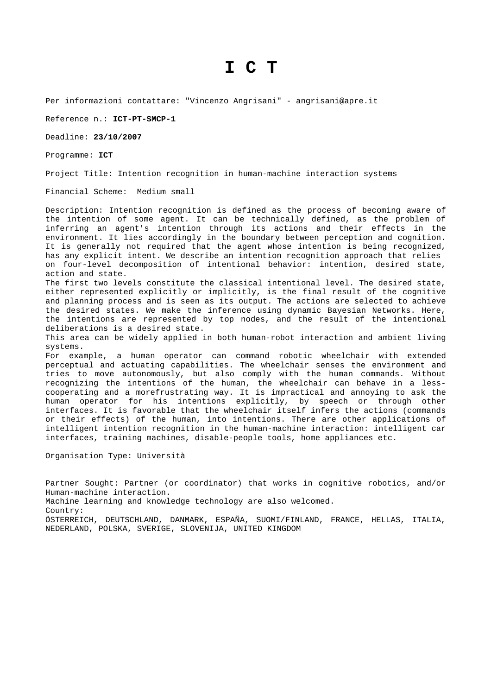## **I C T**

Per informazioni contattare: "Vincenzo Angrisani" - angrisani@apre.it

Reference n.: **ICT-PT-SMCP-1**

Deadline: **23/10/2007**

Programme: **ICT** 

Project Title: Intention recognition in human-machine interaction systems

Financial Scheme: Medium small

Description: Intention recognition is defined as the process of becoming aware of the intention of some agent. It can be technically defined, as the problem of inferring an agent's intention through its actions and their effects in the environment. It lies accordingly in the boundary between perception and cognition. It is generally not required that the agent whose intention is being recognized, has any explicit intent. We describe an intention recognition approach that relies on four-level decomposition of intentional behavior: intention, desired state, action and state.

The first two levels constitute the classical intentional level. The desired state, either represented explicitly or implicitly, is the final result of the cognitive and planning process and is seen as its output. The actions are selected to achieve the desired states. We make the inference using dynamic Bayesian Networks. Here, the intentions are represented by top nodes, and the result of the intentional deliberations is a desired state.

This area can be widely applied in both human-robot interaction and ambient living systems.

For example, a human operator can command robotic wheelchair with extended perceptual and actuating capabilities. The wheelchair senses the environment and tries to move autonomously, but also comply with the human commands. Without recognizing the intentions of the human, the wheelchair can behave in a lesscooperating and a morefrustrating way. It is impractical and annoying to ask the human operator for his intentions explicitly, by speech or through other interfaces. It is favorable that the wheelchair itself infers the actions (commands or their effects) of the human, into intentions. There are other applications of intelligent intention recognition in the human-machine interaction: intelligent car interfaces, training machines, disable-people tools, home appliances etc.

Organisation Type: Università

Partner Sought: Partner (or coordinator) that works in cognitive robotics, and/or Human-machine interaction. Machine learning and knowledge technology are also welcomed. Country: ÖSTERREICH, DEUTSCHLAND, DANMARK, ESPAÑA, SUOMI/FINLAND, FRANCE, HELLAS, ITALIA, NEDERLAND, POLSKA, SVERIGE, SLOVENIJA, UNITED KINGDOM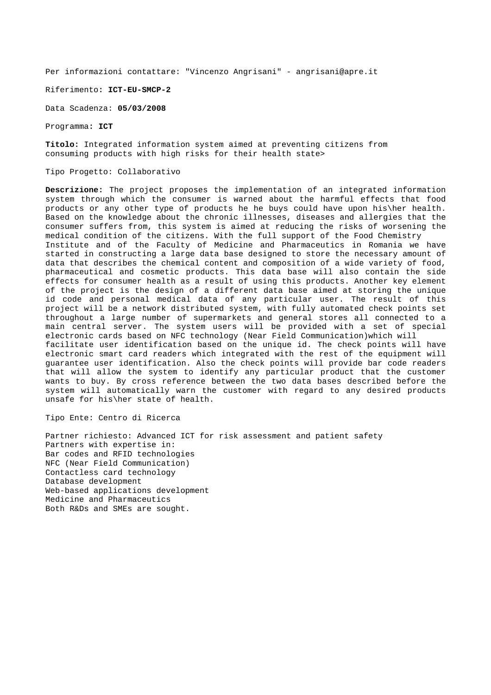Per informazioni contattare: "Vincenzo Angrisani" - angrisani@apre.it

Riferimento**: ICT-EU-SMCP-2**

Data Scadenza: **05/03/2008**

Programma**: ICT** 

**Titolo:** Integrated information system aimed at preventing citizens from consuming products with high risks for their health state>

Tipo Progetto: Collaborativo

**Descrizione:** The project proposes the implementation of an integrated information system through which the consumer is warned about the harmful effects that food products or any other type of products he he buys could have upon his\her health. Based on the knowledge about the chronic illnesses, diseases and allergies that the consumer suffers from, this system is aimed at reducing the risks of worsening the medical condition of the citizens. With the full support of the Food Chemistry Institute and of the Faculty of Medicine and Pharmaceutics in Romania we have started in constructing a large data base designed to store the necessary amount of data that describes the chemical content and composition of a wide variety of food, pharmaceutical and cosmetic products. This data base will also contain the side effects for consumer health as a result of using this products. Another key element of the project is the design of a different data base aimed at storing the unique id code and personal medical data of any particular user. The result of this project will be a network distributed system, with fully automated check points set throughout a large number of supermarkets and general stores all connected to a main central server. The system users will be provided with a set of special electronic cards based on NFC technology (Near Field Communication)which will facilitate user identification based on the unique id. The check points will have electronic smart card readers which integrated with the rest of the equipment will guarantee user identification. Also the check points will provide bar code readers that will allow the system to identify any particular product that the customer wants to buy. By cross reference between the two data bases described before the system will automatically warn the customer with regard to any desired products unsafe for his\her state of health.

Tipo Ente: Centro di Ricerca

Partner richiesto: Advanced ICT for risk assessment and patient safety Partners with expertise in: Bar codes and RFID technologies NFC (Near Field Communication) Contactless card technology Database development Web-based applications development Medicine and Pharmaceutics Both R&Ds and SMEs are sought.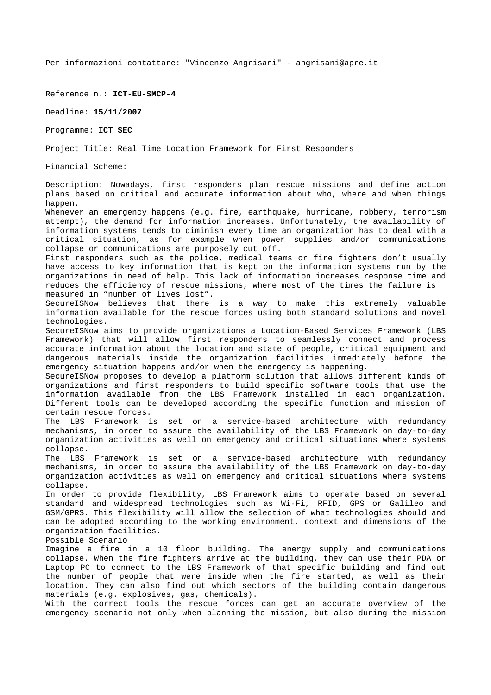Per informazioni contattare: "Vincenzo Angrisani" - angrisani@apre.it

Reference n.: **ICT-EU-SMCP-4**

Deadline: **15/11/2007**

Programme: **ICT SEC**

Project Title: Real Time Location Framework for First Responders

Financial Scheme:

Description: Nowadays, first responders plan rescue missions and define action plans based on critical and accurate information about who, where and when things happen.

Whenever an emergency happens (e.g. fire, earthquake, hurricane, robbery, terrorism attempt), the demand for information increases. Unfortunately, the availability of information systems tends to diminish every time an organization has to deal with a critical situation, as for example when power supplies and/or communications collapse or communications are purposely cut off.

First responders such as the police, medical teams or fire fighters don't usually have access to key information that is kept on the information systems run by the organizations in need of help. This lack of information increases response time and reduces the efficiency of rescue missions, where most of the times the failure is measured in "number of lives lost".

SecureISNow believes that there is a way to make this extremely valuable information available for the rescue forces using both standard solutions and novel technologies.

SecureISNow aims to provide organizations a Location-Based Services Framework (LBS Framework) that will allow first responders to seamlessly connect and process accurate information about the location and state of people, critical equipment and dangerous materials inside the organization facilities immediately before the emergency situation happens and/or when the emergency is happening.

SecureISNow proposes to develop a platform solution that allows different kinds of organizations and first responders to build specific software tools that use the information available from the LBS Framework installed in each organization. Different tools can be developed according the specific function and mission of certain rescue forces.

The LBS Framework is set on a service-based architecture with redundancy mechanisms, in order to assure the availability of the LBS Framework on day-to-day organization activities as well on emergency and critical situations where systems collapse.

The LBS Framework is set on a service-based architecture with redundancy mechanisms, in order to assure the availability of the LBS Framework on day-to-day organization activities as well on emergency and critical situations where systems collapse.

In order to provide flexibility, LBS Framework aims to operate based on several standard and widespread technologies such as Wi-Fi, RFID, GPS or Galileo and GSM/GPRS. This flexibility will allow the selection of what technologies should and can be adopted according to the working environment, context and dimensions of the organization facilities.

Possible Scenario

Imagine a fire in a 10 floor building. The energy supply and communications collapse. When the fire fighters arrive at the building, they can use their PDA or Laptop PC to connect to the LBS Framework of that specific building and find out the number of people that were inside when the fire started, as well as their location. They can also find out which sectors of the building contain dangerous materials (e.g. explosives, gas, chemicals).

With the correct tools the rescue forces can get an accurate overview of the emergency scenario not only when planning the mission, but also during the mission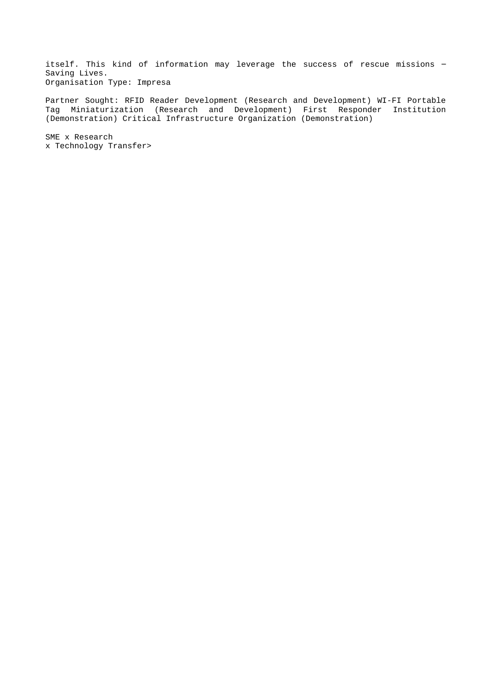itself. This kind of information may leverage the success of rescue missions – Saving Lives. Organisation Type: Impresa

Partner Sought: RFID Reader Development (Research and Development) WI-FI Portable Tag Miniaturization (Research and Development) First Responder Institution (Demonstration) Critical Infrastructure Organization (Demonstration)

SME x Research x Technology Transfer>